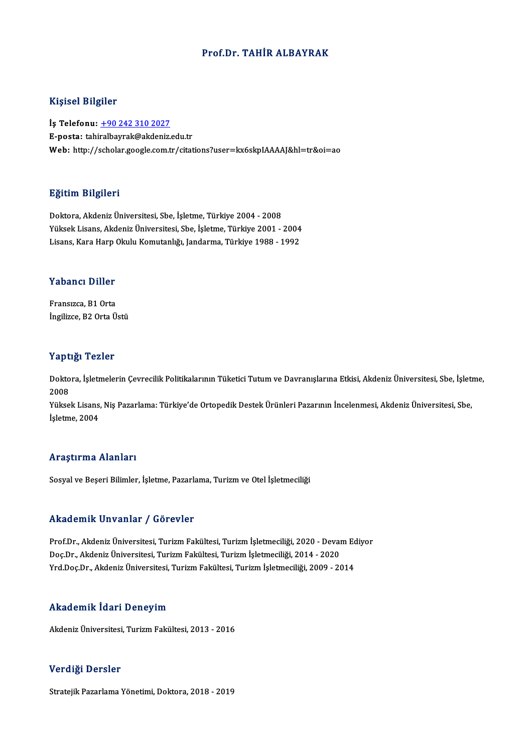#### Prof.Dr. TAHİR ALBAYRAK

#### Kişisel Bilgiler

İş Telefonu: +90 242 310 2027 E-posta: tahi[ralbayrak@akdeniz.](tel:+90 242 310 2027)edu.tr Web: http://scholar.google.com.tr/citations?user=kx6skpIAAAAJ&hl=tr&oi=ao

#### Eğitim Bilgileri

Doktora,AkdenizÜniversitesi,Sbe, İşletme,Türkiye 2004 -2008 25.<br>20ktora, Akdeniz Üniversitesi, Sbe, İşletme, Türkiye 2004 - 2008<br>Yüksek Lisans, Akdeniz Üniversitesi, Sbe, İşletme, Türkiye 2001 - 2004<br>Lisans, Kara Harp Olulu Komutanlığı, Jandarma, Türkiye 1988, 1992 Doktora, Akdeniz Üniversitesi, Sbe, İşletme, Türkiye 2004 - 2008<br>Yüksek Lisans, Akdeniz Üniversitesi, Sbe, İşletme, Türkiye 2001 - 2004<br>Lisans, Kara Harp Okulu Komutanlığı, Jandarma, Türkiye 1988 - 1992

# Lisans, Kara Harp (<br>Yabancı Diller

Yabancı Diller<br>Fransızca, B1 Orta<br>İngilizca, B2 Orta Ü Fransızca, B1 Orta<br>İngilizce, B2 Orta Üstü

#### Yaptığı Tezler

**Yaptığı Tezler**<br>Doktora, İşletmelerin Çevrecilik Politikalarının Tüketici Tutum ve Davranışlarına Etkisi, Akdeniz Üniversitesi, Sbe, İşletme,<br>2008 2 ape<br>Dokto<br>2008<br><sup>Välse</sup> Doktora, İşletmelerin Çevrecilik Politikalarının Tüketici Tutum ve Davranışlarına Etkisi, Akdeniz Üniversitesi, Sbe, İşleti<br>2008<br>Yüksek Lisans, Niş Pazarlama: Türkiye'de Ortopedik Destek Ürünleri Pazarının İncelenmesi, Akd

2008<br>Yüksek Lisans<br>İşletme, 2004

# İşletme, 2004<br>Araştırma Alanları

Sosyal ve Beşeri Bilimler, İşletme, Pazarlama, Turizm ve Otel İşletmeciliği

#### Akademik Unvanlar / Görevler

Akademik Unvanlar / Görevler<br>Prof.Dr., Akdeniz Üniversitesi, Turizm Fakültesi, Turizm İşletmeciliği, 2020 - Devam Ediyor<br>Des.Dr., Akdeniz Üniversitesi, Turizm Fakültesi, Turizm İsletmeciliği, 2014, 2020 rındu olirin "oli valirdi" / "döz ovtor"<br>Prof.Dr., Akdeniz Üniversitesi, Turizm Fakültesi, Turizm İşletmeciliği, 2020 - Deval<br>Doç.Dr., Akdeniz Üniversitesi, Turizm Fakültesi, Turizm İşletmeciliği, 2014 - 2020<br>Vrd Doc.Dr., Doç.Dr., Akdeniz Üniversitesi, Turizm Fakültesi, Turizm İşletmeciliği, 2014 - 2020<br>Yrd.Doç.Dr., Akdeniz Üniversitesi, Turizm Fakültesi, Turizm İşletmeciliği, 2009 - 2014

#### Akademik İdari Deneyim

AkdenizÜniversitesi,TurizmFakültesi,2013 -2016

#### Verdiği Dersler

Stratejik Pazarlama Yönetimi, Doktora, 2018 - 2019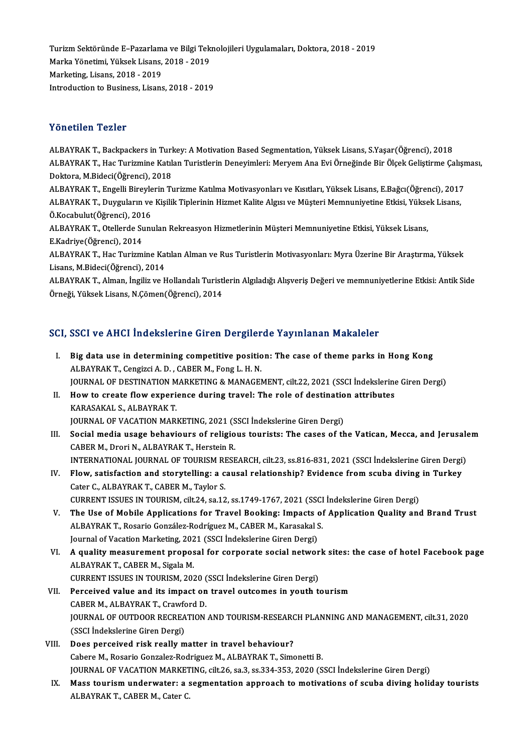Turizm Sektöründe E–Pazarlama ve Bilgi Teknolojileri Uygulamaları, Doktora, 2018 - 2019<br>Marka Vönetimi Vülsek Lisens, 2019, ...2019 Turizm Sektöründe E–Pazarlama ve Bilgi Tek<br>Marka Yönetimi, Yüksek Lisans, 2018 - 2019<br>Markating Lisans, 2018 - 2019 Turizm Sektöründe E–Pazarlam<br>Marka Yönetimi, Yüksek Lisans,<br>Marketing, Lisans, 2018 - 2019<br>Introduction to Business, Lisans Marka Yönetimi, Yüksek Lisans, 2018 - 2019<br>Marketing, Lisans, 2018 - 2019<br>Introduction to Business, Lisans, 2018 - 2019

#### Yönetilen Tezler

Yönetilen Tezler<br>ALBAYRAK T., Backpackers in Turkey: A Motivation Based Segmentation, Yüksek Lisans, S.Yaşar(Öğrenci), 2018<br>ALBAYRAK T., Hac Turizmine Katılan Turistlerin Denevimleri: Meryem Ane Evi Örneğinde Bir Ölsek Cel TONUENIN'I DENIY<br>ALBAYRAK T., Backpackers in Turkey: A Motivation Based Segmentation, Yüksek Lisans, S.Yaşar(Öğrenci), 2018<br>ALBAYRAK T., Hac Turizmine Katılan Turistlerin Deneyimleri: Meryem Ana Evi Örneğinde Bir Ölçek Gel ALBAYRAK T., Backpackers in Turl<br>ALBAYRAK T., Hac Turizmine Katıl<br>Doktora, M.Bideci(Öğrenci), 2018<br>ALBAYBAK T., Engelli Birovlerin T. ALBAYRAK T., Hac Turizmine Katılan Turistlerin Deneyimleri: Meryem Ana Evi Örneğinde Bir Ölçek Geliştirme Çalışr<br>Doktora, M.Bideci(Öğrenci), 2018<br>ALBAYRAK T., Engelli Bireylerin Turizme Katılma Motivasyonları ve Kısıtları, Doktora, M.Bideci(Öğrenci), 2018<br>ALBAYRAK T., Engelli Bireylerin Turizme Katılma Motivasyonları ve Kısıtları, Yüksek Lisans, E.Bağcı(Öğrenci), 2017<br>ALBAYRAK T., Duyguların ve Kişilik Tiplerinin Hizmet Kalite Algısı ve Müşt

ALBAYRAK T., Engelli Bireyle<br>ALBAYRAK T., Duyguların ve<br>Ö.Kocabulut(Öğrenci), 2016<br>ALBAYRAK T. Otallarda Sunı ALBAYRAK T., Duyguların ve Kişilik Tiplerinin Hizmet Kalite Algısı ve Müşteri Memnuniyetine Etkisi, Yüksek Lisans,<br>Ö.Kocabulut(Öğrenci), 2016<br>ALBAYRAK T., Otellerde Sunulan Rekreasyon Hizmetlerinin Müşteri Memnuniyetine Et Ö.Kocabulut(Öğrenci), 2016

ALBAYRAK T., Otellerde Sunulan Rekreasyon Hizmetlerinin Müşteri Memnuniyetine Etkisi, Yüksek Lisans,<br>E.Kadriye(Öğrenci), 2014<br>ALBAYRAK T., Hac Turizmine Katılan Alman ve Rus Turistlerin Motivasyonları: Myra Üzerine Bir Ara

E.Kadriye(Öğrenci), 2014<br>ALBAYRAK T., Hac Turizmine Ka<br>Lisans, M.Bideci(Öğrenci), 2014<br>ALBAYRAK T., Alman, İngiliz ve K ALBAYRAK T., Hac Turizmine Katılan Alman ve Rus Turistlerin Motivasyonları: Myra Üzerine Bir Araştırma, Yüksek<br>Lisans, M.Bideci(Öğrenci), 2014<br>ALBAYRAK T., Alman, İngiliz ve Hollandalı Turistlerin Algıladığı Alışveriş Değe

Lisans, M.Bideci(Öğrenci), 2014<br>ALBAYRAK T., Alman, İngiliz ve Hollandalı Turistlerin Algıladığı Alışveriş Değeri ve memnuniyetlerine Etkisi: Antik Side<br>Örneği, Yüksek Lisans, N.Çömen(Öğrenci), 2014

#### SCI, SSCI ve AHCI İndekslerine Giren Dergilerde Yayınlanan Makaleler

- CI, SSCI ve AHCI Indekslerine Giren Dergilerde Yayınlanan Makaleler<br>I. Big data use in determining competitive position: The case of theme parks in Hong Kong<br>ALPAYPAKT Congigi A.D. CARER M. Fong L.H.N. Big data use in determining competitive position<br>ALBAYRAK T., Cengizci A. D., CABER M., Fong L. H. N.<br>JOUDNAL OF DESTINATION MARKETING & MANAGER Big data use in determining competitive position: The case of theme parks in Hong Kong<br>ALBAYRAK T., Cengizci A. D. , CABER M., Fong L. H. N.<br>JOURNAL OF DESTINATION MARKETING & MANAGEMENT, cilt.22, 2021 (SSCI İndekslerine G ALBAYRAK T., Cengizci A. D. , CABER M., Fong L. H. N.<br>JOURNAL OF DESTINATION MARKETING & MANAGEMENT, cilt.22, 2021 (SSCI Indekslering<br>II. How to create flow experience during travel: The role of destination attributes<br>KARA
- **JOURNAL OF DESTINATION M<br>How to create flow experi<br>KARASAKAL S., ALBAYRAK T.<br>JOUPNAL OF VACATION MAR** II. How to create flow experience during travel: The role of destination attributes<br>KARASAKAL S., ALBAYRAK T.<br>JOURNAL OF VACATION MARKETING, 2021 (SSCI İndekslerine Giren Dergi)
- KARASAKAL S., ALBAYRAK T.<br>JOURNAL OF VACATION MARKETING, 2021 (SSCI Indekslerine Giren Dergi)<br>III. Social media usage behaviours of religious tourists: The cases of the Vatican, Mecca, and Jerusalem<br>CARER M. Drori N. ALBAY **JOURNAL OF VACATION MARKETING, 2021 (S<br>Social media usage behaviours of religio<br>CABER M., Drori N., ALBAYRAK T., Herstein R.**<br>INTERNATIONAL JOURNAL OF TOURISM RESE Social media usage behaviours of religious tourists: The cases of the Vatican, Mecca, and Jerusale<br>CABER M., Drori N., ALBAYRAK T., Herstein R.<br>INTERNATIONAL JOURNAL OF TOURISM RESEARCH, cilt.23, ss.816-831, 2021 (SSCI İnd CABER M., Drori N., ALBAYRAK T., Herstein R.<br>INTERNATIONAL JOURNAL OF TOURISM RESEARCH, cilt.23, ss.816-831, 2021 (SSCI İndekslerine Giren Dergi)<br>IV. Flow, satisfaction and storytelling: a causal relationship? Evidence fro
- INTERNATIONAL JOURNAL OF TOURISM RI<br>Flow, satisfaction and storytelling: a c<br>Cater C., ALBAYRAK T., CABER M., Taylor S.<br>CURRENT ISSUES IN TOURISM silt 24, sa 12 Flow, satisfaction and storytelling: a causal relationship? Evidence from scuba diving<br>Cater C., ALBAYRAK T., CABER M., Taylor S.<br>CURRENT ISSUES IN TOURISM, cilt.24, sa.12, ss.1749-1767, 2021 (SSCI İndekslerine Giren Dergi Cater C., ALBAYRAK T., CABER M., Taylor S.<br>CURRENT ISSUES IN TOURISM, cilt.24, sa.12, ss.1749-1767, 2021 (SSCI Indekslerine Giren Dergi)<br>V. The Use of Mobile Applications for Travel Booking: Impacts of Application Quality
- CURRENT ISSUES IN TOURISM, cilt.24, sa.12, ss.1749-1767, 2021 (SSCI)<br>The Use of Mobile Applications for Travel Booking: Impacts of<br>ALBAYRAK T., Rosario González-Rodríguez M., CABER M., Karasakal S.<br>Journal of Vasation Mark The Use of Mobile Applications for Travel Booking: Impacts (ALBAYRAK T., Rosario González-Rodríguez M., CABER M., Karasakal S<br>Journal of Vacation Marketing, 2021 (SSCI İndekslerine Giren Dergi)<br>A quality maasuramant pranas ALBAYRAK T., Rosario González-Rodríguez M., CABER M., Karasakal S.<br>Journal of Vacation Marketing, 2021 (SSCI İndekslerine Giren Dergi)<br>VI. – A quality measurement proposal for corporate social network sites: the case of ho
- Journal of Vacation Marketing, 202<br>**A quality measurement propos<br>ALBAYRAK T., CABER M., Sigala M.**<br>CURRENT ISSUES IN TOURISM 202 A quality measurement proposal for corporate social networ<br>ALBAYRAK T., CABER M., Sigala M.<br>CURRENT ISSUES IN TOURISM, 2020 (SSCI İndekslerine Giren Dergi)<br>Persejued value and its impact an traval auteames in vauth t ALBAYRAK T., CABER M., Sigala M.<br>CURRENT ISSUES IN TOURISM, 2020 (SSCI Indekslerine Giren Dergi)<br>VII. Perceived value and its impact on travel outcomes in youth tourism
- CURRENT ISSUES IN TOURISM, 2020 (<br>Perceived value and its impact on<br>CABER M., ALBAYRAK T., Crawford D.<br>JOUPMAL OF OUTDOOP PECPEATION CABER M., ALBAYRAK T., Crawford D.<br>JOURNAL OF OUTDOOR RECREATION AND TOURISM-RESEARCH PLANNING AND MANAGEMENT, cilt.31, 2020 (SSCI İndekslerine Giren Dergi)
- VIII. Does perceived risk really matter in travel behaviour? Cabere M., Rosario Gonzalez-Rodriguez M., ALBAYRAK T., Simonetti B. Does perceived risk really matter in travel behaviour?<br>Cabere M., Rosario Gonzalez-Rodriguez M., ALBAYRAK T., Simonetti B.<br>JOURNAL OF VACATION MARKETING, cilt.26, sa.3, ss.334-353, 2020 (SSCI İndekslerine Giren Dergi)<br>Mass
	- IX. Mass tourism underwater: a segmentation approach to motivations of scuba diving holiday tourists<br>ALBAYRAK T., CABER M., Cater C. JOURNAL OF VACATION MARKET<br><mark>Mass tourism underwater: a</mark> s<br>ALBAYRAK T., CABER M., Cater C.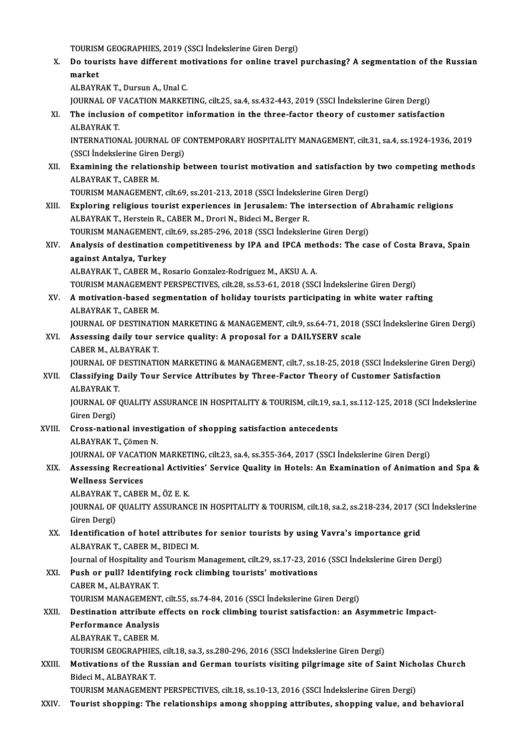TOURISM GEOGRAPHIES, 2019 (SSCI İndekslerine Giren Dergi)<br>De teurista baya different metiyatlara far anline traval

X. Do tourists have different motivations for online travel purchasing? A segmentation of the Russian market TOURISM<br>Do tour<br>market market<br>ALBAYRAK T., Dursun A., Unal C.<br>JOURNAL OF VACATION MARKETING, cilt.25, sa.4, ss.432-443, 2019 (SSCI İndekslerine Giren Dergi)<br>The inclusion of competitor information in the three factor theory of customer satisfact

```
ALBAYRAK T., Dursun A., Unal C.
```
ALBAYRAK T., Dursun A., Unal C.<br>JOURNAL OF VACATION MARKETING, cilt.25, sa.4, ss.432-443, 2019 (SSCI İndekslerine Giren Dergi)<br>XI. The inclusion of competitor information in the three-factor theory of customer satisfaction **JOURNAL OF V<br>The inclusio:<br>ALBAYRAK T.<br>INTERNATION** The inclusion of competitor information in the three-factor theory of customer satisfaction<br>ALBAYRAK T.<br>INTERNATIONAL JOURNAL OF CONTEMPORARY HOSPITALITY MANAGEMENT, cilt.31, sa.4, ss.1924-1936, 2019<br>(SSCLIndekslerine Cire

ALBAYRAK T.<br>INTERNATIONAL JOURNAL OF CONTEMPORARY HOSPITALITY MANAGEMENT, cilt.31, sa.4, ss.1924-1936, 2019<br>(SSCI İndekslerine Giren Dergi) INTERNATIONAL JOURNAL OF CONTEMPORARY HOSPITALITY MANAGEMENT, cilt.31, sa.4, ss.1924-1936, 2019<br>(SSCI İndekslerine Giren Dergi)<br>XII. Examining the relationship between tourist motivation and satisfaction by two competing m

(SSCI Indekslerine Giren<br>**Examining the relatio:**<br>ALBAYRAK T., CABER M.<br>TOUDISM MANACEMENT Examining the relationship between tourist motivation and satisfaction by<br>ALBAYRAK T., CABER M.<br>TOURISM MANAGEMENT, cilt.69, ss.201-213, 2018 (SSCI İndekslerine Giren Dergi)<br>Explering religious tourist experiences in Jerus

- ALBAYRAK T., CABER M.<br>TOURISM MANAGEMENT, cilt.69, ss.201-213, 2018 (SSCI Indekslerine Giren Dergi)<br>XIII. Exploring religious tourist experiences in Jerusalem: The intersection of Abrahamic religions<br>ALBAVBAV T. Horstein B TOURISM MANAGEMENT, cilt.69, ss.201-213, 2018 (SSCI Indekslerine Giren Dergi)<br>Exploring religious tourist experiences in Jerusalem: The intersection of<br>ALBAYRAK T., Herstein R., CABER M., Drori N., Bideci M., Berger R. Exploring religious tourist experiences in Jerusalem: The intersection of<br>ALBAYRAK T., Herstein R., CABER M., Drori N., Bideci M., Berger R.<br>TOURISM MANAGEMENT, cilt.69, ss.285-296, 2018 (SSCI İndekslerine Giren Dergi)<br>Ana ALBAYRAK T., Herstein R., CABER M., Drori N., Bideci M., Berger R.<br>TOURISM MANAGEMENT, cilt.69, ss.285-296, 2018 (SSCI İndekslerine Giren Dergi)<br>XIV. Analysis of destination competitiveness by IPA and IPCA methods: The
- TOURISM MANAGEMENT, cilt.69, ss.285-296, 2018 (SSCI Indekslerine Giren Dergi)<br>Analysis of destination competitiveness by IPA and IPCA methods: The ca<br>against Antalya, Turkey<br>ALBAYRAK T., CABER M., Rosario Gonzalez-Rodrigue Analysis of destination competitiveness by IPA and IPCA met<br>against Antalya, Turkey<br>ALBAYRAK T., CABER M., Rosario Gonzalez-Rodriguez M., AKSU A. A.<br>TOUDISM MANACEMENT PERSPECTIVES, silt 29, ss 52, 61, 2019 (SSC

TOURISMMANAGEMENTPERSPECTIVES, cilt.28, ss.53-61,2018 (SSCI İndekslerineGirenDergi)

ALBAYRAK T., CABER M., Rosario Gonzalez-Rodriguez M., AKSU A. A.<br>TOURISM MANAGEMENT PERSPECTIVES, cilt.28, ss.53-61, 2018 (SSCI Indekslerine Giren Dergi)<br>XV. A motivation-based segmentation of holiday tourists participatin TOURISM MANAGEMENT<br>A motivation-based se<br>ALBAYRAK T., CABER M.<br>JOUPNAL OF DESTINATI A motivation-based segmentation of holiday tourists participating in white water rafting<br>ALBAYRAK T., CABER M.<br>JOURNAL OF DESTINATION MARKETING & MANAGEMENT, cilt.9, ss.64-71, 2018 (SSCI İndekslerine Giren Dergi)<br>Assessing

ALBAYRAK T., CABER M.<br>JOURNAL OF DESTINATION MARKETING & MANAGEMENT, cilt.9, ss.64-71, 2018 (<br>XVI. Assessing daily tour service quality: A proposal for a DAILYSERV scale<br>CABER M. ALBAYRAK T. **JOURNAL OF DESTINATI<sup><br>Assessing daily tour s<br>CABER M., ALBAYRAK T.<br>JOUPNAL OF DESTINATI**</sup> Assessing daily tour service quality: A proposal for a DAILYSERV scale<br>CABER M., ALBAYRAK T.<br>JOURNAL OF DESTINATION MARKETING & MANAGEMENT, cilt.7, ss.18-25, 2018 (SSCI İndekslerine Giren Dergi)<br>Classifying Daily Tour Serv

## CABER M., ALBAYRAK T.<br>JOURNAL OF DESTINATION MARKETING & MANAGEMENT, cilt.7, ss.18-25, 2018 (SSCI İndekslerine Gir<br>XVII. Classifying Daily Tour Service Attributes by Three-Factor Theory of Customer Satisfaction<br>ALBAYRAK T. **JOURNAL OF I<br>Classifying D<br>ALBAYRAK T.<br>JOUPNAL OF (** Classifying Daily Tour Service Attributes by Three-Factor Theory of Customer Satisfaction<br>ALBAYRAK T.<br>JOURNAL OF QUALITY ASSURANCE IN HOSPITALITY & TOURISM, cilt.19, sa.1, ss.112-125, 2018 (SCI İndekslerine<br>Ciron Dergi)

ALBAYRAK T<br>JOURNAL OF<br>Giren Dergi)<br>Cross natio JOURNAL OF QUALITY ASSURANCE IN HOSPITALITY & TOURISM, cilt.19, sa<br>Giren Dergi)<br>XVIII. Cross-national investigation of shopping satisfaction antecedents<br>ALBAVBAK T. Cômon N

Giren Dergi)<br><mark>Cross-national investi</mark><br>ALBAYRAK T., Çömen N.<br>JOUPNAL OF VACATION Cross-national investigation of shopping satisfaction antecedents<br>ALBAYRAK T., Çömen N.<br>JOURNAL OF VACATION MARKETING, cilt.23, sa.4, ss.355-364, 2017 (SSCI İndekslerine Giren Dergi)<br>Assessing Beausational Astivitise' Serv

## ALBAYRAK T., Çömen N.<br>JOURNAL OF VACATION MARKETING, cilt.23, sa.4, ss.355-364, 2017 (SSCI İndekslerine Giren Dergi)<br>XIX. Assessing Recreational Activities' Service Quality in Hotels: An Examination of Animation and Sp **JOURNAL OF VACAT<br>Assessing Recreat<br>Wellness Services<br>ALBAVRALT CAPEL** Assessing Recreational Activi<br>Wellness Services<br>ALBAYRAK T., CABER M., ÖZ E. K.<br>JOUPMAL OF OUALITY ASSURANG

ALBAYRAK T., CABER M., ÖZ E. K.

Wellness Services<br>ALBAYRAK T., CABER M., ÖZ E. K.<br>JOURNAL OF QUALITY ASSURANCE IN HOSPITALITY & TOURISM, cilt.18, sa.2, ss.218-234, 2017 (SCI İndekslerine<br>Giren Dergi) JOURNAL OF QUALITY ASSURANCE IN HOSPITALITY & TOURISM, cilt.18, sa.2, ss.218-234, 2017 (S<br>Giren Dergi)<br>XX. Identification of hotel attributes for senior tourists by using Vavra's importance grid<br>ALBAVBAK T. CARER M. RIDECL

Giren Dergi)<br>Identification of hotel attribute:<br>ALBAYRAK T., CABER M., BIDECI M.<br>Journal of Hospitality and Tourism I Identification of hotel attributes for senior tourists by using Vavra's importance grid<br>ALBAYRAK T., CABER M., BIDECI M.<br>Journal of Hospitality and Tourism Management, cilt.29, ss.17-23, 2016 (SSCI İndekslerine Giren Dergi

## ALBAYRAK T., CABER M., BIDECI M.<br>Journal of Hospitality and Tourism Management, cilt.29, ss.17-23, 201<br>XXI. Push or pull? Identifying rock climbing tourists' motivations<br>CABER M. ALBAYRAK T. Journal of Hospitality and<br>Push or pull? Identify:<br>CABER M., ALBAYRAK T.<br>TOUDISM MANACEMENT Push or pull? Identifying rock climbing tourists' motivations<br>CABER M., ALBAYRAK T.<br>TOURISM MANAGEMENT, cilt.55, ss.74-84, 2016 (SSCI İndekslerine Giren Dergi)<br>Destination attribute effects on rock climbing tourist satisfe CABER M., ALBAYRAK T.<br>TOURISM MANAGEMENT, cilt.55, ss.74-84, 2016 (SSCI Indekslerine Giren Dergi)<br>XXII. Destination attribute effects on rock climbing tourist satisfaction: an Asymmetric Impact-<br>Perfermanee Anelysie

**TOURISM MANAGEMENT<br>Destination attribute e<br>Performance Analysis<br>ALBAYBAK T. CABER M Destination attribute<br>Performance Analysis<br>ALBAYRAK T., CABER M.<br>TOUDISM CEOCRADULES** 

Performance Analysis<br>ALBAYRAK T., CABER M.<br>TOURISM GEOGRAPHIES, cilt.18, sa.3, ss.280-296, 2016 (SSCI İndekslerine Giren Dergi)<br>Metivations of the Bussian and Corman tourists visiting pilgrimage site of Sei

#### ALBAYRAK T., CABER M.<br>TOURISM GEOGRAPHIES, cilt.18, sa.3, ss.280-296, 2016 (SSCI İndekslerine Giren Dergi)<br>XXIII. Motivations of the Russian and German tourists visiting pilgrimage site of Saint Nicholas Church<br>Ridegi M. A TOURISM GEOGRAPHIES<br>Motivations of the Ru<br>Bideci M., ALBAYRAK T.<br>TOUDISM MANACEMEN Motivations of the Russian and German tourists visiting pilgrimage site of Saint Nich<br>Bideci M., ALBAYRAK T.<br>TOURISM MANAGEMENT PERSPECTIVES, cilt.18, ss.10-13, 2016 (SSCI İndekslerine Giren Dergi)<br>Tourist shanning: The po Bideci M., ALBAYRAK T.<br>TOURISM MANAGEMENT PERSPECTIVES, cilt.18, ss.10-13, 2016 (SSCI İndekslerine Giren Dergi)<br>XXIV. Tourist shopping: The relationships among shopping attributes, shopping value, and behavioral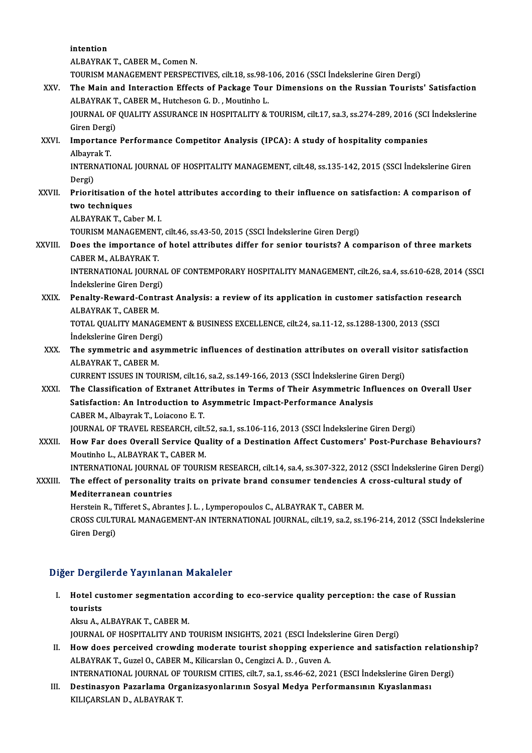intention

ALBAYRAK T., CABER M., Comen N.

intention<br>ALBAYRAK T., CABER M., Comen N.<br>TOURISM MANAGEMENT PERSPECTIVES, cilt.18, ss.98-106, 2016 (SSCI İndekslerine Giren Dergi)<br>The Mein and Interaction Effects of Baskage Tour Dimensions on the Bussian Tourists

#### XXV. The Main and Interaction Effects of Package Tour Dimensions on the Russian Tourists' Satisfaction<br>ALBAYRAK T., CABER M., Hutcheson G. D., Moutinho L. TOURISM MANAGEMENT PERSPECTIVES, cilt.18, ss.98-1<br>The Main and Interaction Effects of Package Tou:<br>ALBAYRAK T., CABER M., Hutcheson G. D. , Moutinho L.<br>JOUPNAL OF OUALITY ASSURANCE IN HOSPITALITY & The Main and Interaction Effects of Package Tour Dimensions on the Russian Tourists' Satisfaction<br>ALBAYRAK T., CABER M., Hutcheson G. D. , Moutinho L.<br>JOURNAL OF QUALITY ASSURANCE IN HOSPITALITY & TOURISM, cilt.17, sa.3, s ALBAYRAK T<br>JOURNAL OF<br>Giren Dergi)<br>Importance

JOURNAL OF QUALITY ASSURANCE IN HOSPITALITY & TOURISM, cilt.17, sa.3, ss.274-289, 2016 (SCI<br>Giren Dergi)<br>XXVI. Importance Performance Competitor Analysis (IPCA): A study of hospitality companies<br>Alberrak T

## Giren Dergi)<br>Importance Performance Competitor Analysis (IPCA): A study of hospitality companies<br>Albavrak T. Importance Performance Competitor Analysis (IPCA): A study of hospitality companies<br>Albayrak T.<br>INTERNATIONAL JOURNAL OF HOSPITALITY MANAGEMENT, cilt.48, ss.135-142, 2015 (SSCI İndekslerine Giren<br>Persi)

Albayra<br>INTERI<br>Dergi)<br>Priorit INTERNATIONAL JOURNAL OF HOSPITALITY MANAGEMENT, cilt.48, ss.135-142, 2015 (SSCI İndekslerine Giren<br>Dergi)<br>XXVII. Prioritisation of the hotel attributes according to their influence on satisfaction: A comparison of<br>two tec

# Dergi)<br>XXVII. Prioritisation of the hotel attributes according to their influence on satisfaction: A comparison of<br>two techniques two techniques<br>ALBAYRAK T., Caber M. I.<br>TOURISM MANAGEMENT, cilt.46, ss.43-50, 2015 (SSCI İndekslerine Giren Dergi)<br>Dess the impertance of botel ettributes differ for senier teurists? A so

ALBAYRAKT.,CaberM. I.

### XXVIII. Does the importance of hotel attributes differ for senior tourists? A comparison of three markets CABER M., ALBAYRAK T. TOURISM MANAGEMENT<br>Does the importance<br>CABER M., ALBAYRAK T.<br>INTERNATIONAL JOURN Does the importance of hotel attributes differ for senior tourists? A comparison of three markets<br>CABER M., ALBAYRAK T.<br>INTERNATIONAL JOURNAL OF CONTEMPORARY HOSPITALITY MANAGEMENT, cilt.26, sa.4, ss.610-628, 2014 (SSCI<br>In

CABER M., ALBAYRAK T.<br>INTERNATIONAL JOURNA<br>İndekslerine Giren Dergi)<br>Panalty Paward Cantra INTERNATIONAL JOURNAL OF CONTEMPORARY HOSPITALITY MANAGEMENT, cilt.26, sa.4, ss.610-628, 2014<br>Indekslerine Giren Dergi)<br>XXIX. Penalty-Reward-Contrast Analysis: a review of its application in customer satisfaction research<br>

## İndekslerine Giren Dergi<br>Penalty-Reward-Contr<br>ALBAYRAK T., CABER M.<br>TOTAL QUALITY MANAC Penalty-Reward-Contrast Analysis: a review of its application in customer satisfaction rese<br>ALBAYRAK T., CABER M.<br>TOTAL QUALITY MANAGEMENT & BUSINESS EXCELLENCE, cilt.24, sa.11-12, ss.1288-1300, 2013 (SSCI<br>Indekslerine Cir

ALBAYRAK T., CABER M.<br>TOTAL QUALITY MANAGEMENT & BUSINESS EXCELLENCE, cilt.24, sa.11-12, ss.1288-1300, 2013 (SSCI<br>İndekslerine Giren Dergi) TOTAL QUALITY MANAGEMENT & BUSINESS EXCELLENCE, cilt.24, sa.11-12, ss.1288-1300, 2013 (SSCI<br>Indekslerine Giren Dergi)<br>XXX. The symmetric and asymmetric influences of destination attributes on overall visitor satisfaction<br>A

## Indekslerine Giren Dergi<br>The symmetric and as<br>ALBAYRAK T., CABER M.<br>CUPPENT ISSUES IN TOU The symmetric and asymmetric influences of destination attributes on overall visit<br>ALBAYRAK T., CABER M.<br>CURRENT ISSUES IN TOURISM, cilt.16, sa.2, ss.149-166, 2013 (SSCI İndekslerine Giren Dergi)<br>The Glassification of Extr

### ALBAYRAK T., CABER M.<br>CURRENT ISSUES IN TOURISM, cilt.16, sa.2, ss.149-166, 2013 (SSCI İndekslerine Giren Dergi)<br>XXXI. The Classification of Extranet Attributes in Terms of Their Asymmetric Influences on Overall User<br>Satis CURRENT ISSUES IN TOURISM, cilt.16, sa.2, ss.149-166, 2013 (SSCI İndekslerine Gire<br>The Classification of Extranet Attributes in Terms of Their Asymmetric Inf<br>Satisfaction: An Introduction to Asymmetric Impact-Performance A CABERM.,AlbayrakT.,Loiacono E.T. Satisfaction: An Introduction to Asymmetric Impact-Performance Analysis<br>CABER M., Albayrak T., Loiacono E. T.<br>JOURNAL OF TRAVEL RESEARCH, cilt.52, sa.1, ss.106-116, 2013 (SSCI İndekslerine Giren Dergi)<br>Hour Far does Queral

XXXII. How Far does Overall Service Quality of a Destination Affect Customers' Post-Purchase Behaviours?<br>Moutinho L., ALBAYRAK T., CABER M. JOURNAL OF TRAVEL RESEARCH, cilt.<br>How Far does Overall Service Qua<br>Moutinho L., ALBAYRAK T., CABER M.<br>INTERNATIONAL JOURNAL OF TOUR! How Far does Overall Service Quality of a Destination Affect Customers' Post-Purchase Behaviours?<br>Moutinho L., ALBAYRAK T., CABER M.<br>INTERNATIONAL JOURNAL OF TOURISM RESEARCH, cilt.14, sa.4, ss.307-322, 2012 (SSCI İndeksle

### Moutinho L., ALBAYRAK T., CABER M.<br>INTERNATIONAL JOURNAL OF TOURISM RESEARCH, cilt.14, sa.4, ss.307-322, 2012 (SSCI İndekslerine Giren I<br>XXXIII. The effect of personality traits on private brand consumer tendencies A c INTERNATIONAL JOURNAL (<br>The effect of personality<br>Mediterranean countries<br>Herstein B. Tifferst S. Ahnan The effect of personality traits on private brand consumer tendencies A cross-cultural study of Mediterranean countries

CROSS CULTURAL MANAGEMENT-AN INTERNATIONAL JOURNAL, cilt.19, sa.2, ss.196-214, 2012 (SSCI İndekslerine<br>Giren Dergi) Herstein R., Tifferet S., Abrantes J. L., Lymperopoulos C., ALBAYRAK T., CABER M.

#### Diğer Dergilerde Yayınlanan Makaleler

Iger Dergilerde Yayınlanan Makaleler<br>I. Hotel customer segmentation according to eco-service quality perception: the case of Russian<br>tourists  $t > 0.5$ <br>Hotel cu<br>tourists tourists<br>Aksu A., ALBAYRAK T., CABER M.

JOURNALOFHOSPITALITYANDTOURISMINSIGHTS,2021 (ESCI İndekslerineGirenDergi)

Aksu A., ALBAYRAK T., CABER M.<br>JOURNAL OF HOSPITALITY AND TOURISM INSIGHTS, 2021 (ESCI indekslerine Giren Dergi)<br>II. How does perceived crowding moderate tourist shopping experience and satisfaction relationship?<br>ALBAYRAK JOURNAL OF HOSPITALITY AND TOURISM INSIGHTS, 2021 (ESCI İndeksi)<br>How does perceived crowding moderate tourist shopping exper<br>ALBAYRAK T., Guzel O., CABER M., Kilicarslan O., Cengizci A. D. , Guven A.<br>INTERNATIONAL JOURNAL How does perceived crowding moderate tourist shopping experience and satisfaction relation<br>ALBAYRAK T., Guzel O., CABER M., Kilicarslan O., Cengizci A. D. , Guven A.<br>INTERNATIONAL JOURNAL OF TOURISM CITIES, cilt.7, sa.1, s

ALBAYRAK T., Guzel O., CABER M., Kilicarslan O., Cengizci A. D. , Guven A.<br>INTERNATIONAL JOURNAL OF TOURISM CITIES, cilt.7, sa.1, ss.46-62, 2021 (ESCI İndekslerine Giren I<br>III. Destinasyon Pazarlama Organizasyonlarının Sos INTERNATIONAL JOURNAL OF<br>Destinasyon Pazarlama Org<br>KILIÇARSLAN D., ALBAYRAK T.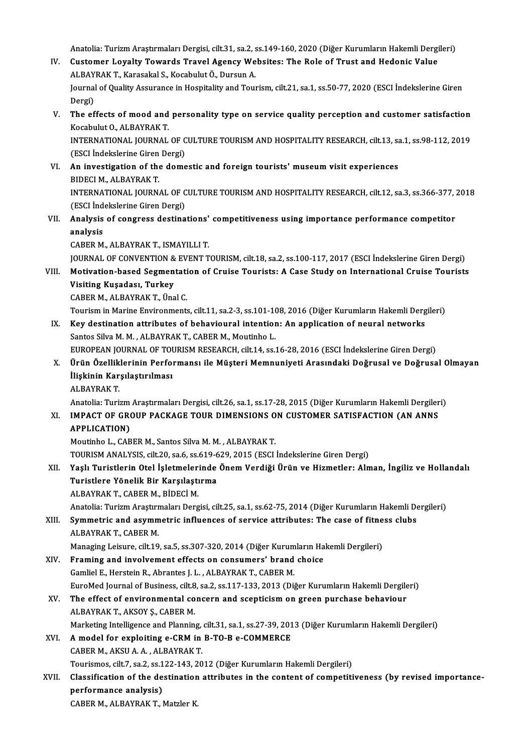Anatolia: Turizm Araştırmaları Dergisi, cilt.31, sa.2, ss.149-160, 2020 (Diğer Kurumların Hakemli Dergileri)<br>Custamar Lavalty Tawarda Traval Agangy Wabsitası The Pala af Trust and Hadania Value.

- Anatolia: Turizm Araştırmaları Dergisi, cilt.31, sa.2, ss.149-160, 2020 (Diğer Kurumların Hakemli Dergi<br>IV. Customer Loyalty Towards Travel Agency Websites: The Role of Trust and Hedonic Value Anatolia: Turizm Araştırmaları Dergisi, cilt.31, sa.2, s<br>Customer Loyalty Towards Travel Agency We<br>ALBAYRAK T., Karasakal S., Kocabulut Ö., Dursun A.<br>Journal of Quality Assurance in Hespitality and Tour IV. Customer Loyalty Towards Travel Agency Websites: The Role of Trust and Hedonic Value<br>ALBAYRAK T., Karasakal S., Kocabulut Ö., Dursun A.<br>Journal of Quality Assurance in Hospitality and Tourism, cilt.21, sa.1, ss.50-77, ALBAYRAK T., Karasakal S., Kocabulut Ö., Dursun A. Journal of Quality Assurance in Hospitality and Tourism, cilt.21, sa.1, ss.50-77, 2020 (ESCI İndekslerine Giren<br>Dergi)<br>V. The effects of mood and personality type on service quality perception and customer satisfaction<br>Kes
- Dergi)<br>The effects of mood and<br>Kocabulut O., ALBAYRAK T.<br>INTERNATIONAL JOURNAL The effects of mood and personality type on service quality perception and customer satisfaction<br>Kocabulut 0., ALBAYRAK T.<br>INTERNATIONAL JOURNAL OF CULTURE TOURISM AND HOSPITALITY RESEARCH, cilt.13, sa.1, ss.98-112, 2019<br>(

Kocabulut O., ALBAYRAK T.<br>INTERNATIONAL JOURNAL OF CULTURE TOURISM AND HOSPITALITY RESEARCH, cilt.13, sa.1, ss.98-112, 2019<br>(ESCI İndekslerine Giren Dergi) INTERNATIONAL JOURNAL OF CULTURE TOURISM AND HOSPITALITY RESEARCH, cilt.13, sa<br>(ESCI Indekslerine Giren Dergi)<br>VI. An investigation of the domestic and foreign tourists' museum visit experiences<br>PIDECIM ALPAYPAKT

- (ESCI Indekslerine Giren)<br>An investigation of the<br>BIDECI M., ALBAYRAK T.<br>INTERNATIONAL JOURN. An investigation of the domestic and foreign tourists' museum visit experiences<br>BIDECI M., ALBAYRAK T.<br>INTERNATIONAL JOURNAL OF CULTURE TOURISM AND HOSPITALITY RESEARCH, cilt.12, sa.3, ss.366-377, 2018<br>(ESCL indekskating C BIDECI M., ALBAYRAK T.<br>INTERNATIONAL JOURNAL OF C<br>(ESCI İndekslerine Giren Dergi)<br>Analysis of sansınas dastina INTERNATIONAL JOURNAL OF CULTURE TOURISM AND HOSPITALITY RESEARCH, cilt.12, sa.3, ss.366-377, <br>(ESCI indekslerine Giren Dergi)<br>VII. Analysis of congress destinations' competitiveness using importance performance compet
- (ESCI İnd<br>**Analysis**<br>analysis<br>CARER M Analysis of congress destinations'<br>analysis<br>CABER M., ALBAYRAK T., ISMAYILLI T.<br>JOUPMAL OF CONVENTION & EVENT T analysis<br>CABER M., ALBAYRAK T., ISMAYILLI T.<br>JOURNAL OF CONVENTION & EVENT TOURISM, cilt.18, sa.2, ss.100-117, 2017 (ESCI İndekslerine Giren Dergi)

CABER M., ALBAYRAK T., ISMAYILLI T.<br>JOURNAL OF CONVENTION & EVENT TOURISM, cilt.18, sa.2, ss.100-117, 2017 (ESCI İndekslerine Giren Dergi)<br>VIII. Motivation-based Segmentation of Cruise Tourists: A Case Study on Internation **JOURNAL OF CONVENTION &<br>Motivation-based Segmen<br>Visiting Kuşadası, Turkey<br>CABER M. ALBAYBAK T. Üng** Motivation-based Segmentati<br>Visiting Kuşadası, Turkey<br>CABER M., ALBAYRAK T., Ünal C.<br>Teuriam in Marine Envirenments Visiting Kuşadası, Turkey<br>CABER M., ALBAYRAK T., Ünal C.<br>Tourism in Marine Environments, cilt.11, sa.2-3, ss.101-108, 2016 (Diğer Kurumların Hakemli Dergileri)<br>Kav destination attributes of behavioural intention: An annlis

CABER M., ALBAYRAK T., Ünal C.<br>Tourism in Marine Environments, cilt.11, sa.2-3, ss.101-108, 2016 (Diğer Kurumların Hakemli Derg<br>IX. Key destination attributes of behavioural intention: An application of neural networks<br>San Tourism in Marine Environments, cilt.11, sa.2-3, ss.101-1(<br>Key destination attributes of behavioural intention<br>Santos Silva M. M. , ALBAYRAK T., CABER M., Moutinho L.<br>FUROPEAN JOURNAL OF TOURISM RESEARCH, silt.14, ss. Key destination attributes of behavioural intention: An application of neural networks<br>Santos Silva M. M. , ALBAYRAK T., CABER M., Moutinho L.<br>EUROPEAN JOURNAL OF TOURISM RESEARCH, cilt.14, ss.16-28, 2016 (ESCI İndekslerin

Santos Silva M. M. , ALBAYRAK T., CABER M., Moutinho L.<br>EUROPEAN JOURNAL OF TOURISM RESEARCH, cilt.14, ss.16-28, 2016 (ESCI İndekslerine Giren Dergi)<br>X. Ürün Özelliklerinin Performansı ile Müşteri Memnuniyeti Arasındak EUROPEAN JOURNAL OF TOU<br>Ürün Özelliklerinin Perfo<br>İlişkinin Karşılaştırılması<br>ALBAVBAK T Ürün Özellik<br>İlişkinin Kar<br>ALBAYRAK T. İlişkinin Karşılaştırılması<br>ALBAYRAK T.<br>Anatolia: Turizm Araştırmaları Dergisi, cilt.26, sa.1, ss.17-28, 2015 (Diğer Kurumların Hakemli Dergileri)

## ALBAYRAK T.<br>Anatolia: Turizm Araştırmaları Dergisi, cilt.26, sa.1, ss.17-28, 2015 (Diğer Kurumların Hakemli Dergiler<br>XI. IMPACT OF GROUP PACKAGE TOUR DIMENSIONS ON CUSTOMER SATISFACTION (AN ANNS Anatolia: Turizm<br>IMPACT OF GRO<br>APPLICATION)<br>Moutinho L. CAP IMPACT OF GROUP PACKAGE TOUR DIMENSIONS O<br>APPLICATION)<br>Moutinho L., CABER M., Santos Silva M. M. , ALBAYRAK T.<br>TOUDISM ANALYSIS S<sup>ilt 20</sup> SO 6 SS 610 620 2015 (FSCL APPLICATION)<br>Moutinho L., CABER M., Santos Silva M. M. , ALBAYRAK T.<br>TOURISM ANALYSIS, cilt.20, sa.6, ss.619-629, 2015 (ESCI İndekslerine Giren Dergi)<br>Yoslı Turistlerin Otel İslatmelerinde Önem Verdiği Ünün ve Hizmetleru A

Moutinho L., CABER M., Santos Silva M. M. , ALBAYRAK T.<br>TOURISM ANALYSIS, cilt.20, sa.6, ss.619-629, 2015 (ESCI İndekslerine Giren Dergi)<br>XII. Yaşlı Turistlerin Otel İşletmelerinde Önem Verdiği Ürün ve Hizmetler: Alman, İn TOURISM ANALYSIS, cilt.20, sa.6, ss.619-6<br>Yaşlı Turistlerin Otel İşletmelerinde<br>Turistlere Yönelik Bir Karşılaştırma<br>ALBAYRAKT GABERM, BİDECİ M Turistlere Yönelik Bir Karşılaştırma<br>ALBAYRAK T., CABER M., BİDECİ M.<br>Anatolia: Turizm Araştırmaları Dergisi, cilt.25, sa.1, ss.62-75, 2014 (Diğer Kurumların Hakemli Dergileri)<br>Symmetris and asymmetris influenses of servis

#### ALBAYRAKT.,CABERM.,BİDECİM.

#### ALBAYRAK T., CABER M., BİDECİ M.<br>Anatolia: Turizm Araştırmaları Dergisi, cilt.25, sa.1, ss.62-75, 2014 (Diğer Kurumların Hakemli De<br>XIII. Symmetric and asymmetric influences of service attributes: The case of fitness clubs Anatolia: Turizm Araştır<mark>ı</mark><br>S**ymmetric and asymm**<br>ALBAYRAK T., CABER M.<br>Managing Leisure, silt 10 Symmetric and asymmetric influences of service attributes: The case of fitne<br>ALBAYRAK T., CABER M.<br>Managing Leisure, cilt.19, sa.5, ss.307-320, 2014 (Diğer Kurumların Hakemli Dergileri)<br>Framing and involvement effects on s ALBAYRAK T., CABER M.<br>Managing Leisure, cilt.19, sa.5, ss.307-320, 2014 (Diğer Kurumların Hakemli Dergileri)<br>XIV. Framing and involvement effects on consumers' brand choice

### Gamliel E., Herstein R., Abrantes J. L., ALBAYRAK T., CABER M. Framing and involvement effects on consumers' brand choice<br>Gamliel E., Herstein R., Abrantes J. L. , ALBAYRAK T., CABER M.<br>EuroMed Journal of Business, cilt.8, sa.2, ss.117-133, 2013 (Diğer Kurumların Hakemli Dergileri)<br>Th Gamliel E., Herstein R., Abrantes J. L. , ALBAYRAK T., CABER M.<br>EuroMed Journal of Business, cilt.8, sa.2, ss.117-133, 2013 (Diğer Kurumların Hakemli Dergile<br>XV. The effect of environmental concern and scepticism on green

## EuroMed Journal of Business, cilt.8<br>The effect of environmental co<br>ALBAYRAK T., AKSOY Ş., CABER M.<br>Markating Intelligance and Blannin XV. The effect of environmental concern and scepticism on green purchase behaviour<br>ALBAYRAK T., AKSOY Ş., CABER M.<br>Marketing Intelligence and Planning, cilt.31, sa.1, ss.27-39, 2013 (Diğer Kurumların Hakemli Dergileri)

#### XVI. Amodel for exploiting e-CRMin B-TO-B e-COMMERCE

CABERM.,AKSUA.A. ,ALBAYRAKT.

A model for exploiting e-CRM in B-TO-B e-COMMERCE<br>CABER M., AKSU A. A. , ALBAYRAK T.<br>Tourismos, cilt.7, sa.2, ss.122-143, 2012 (Diğer Kurumların Hakemli Dergileri)<br>Classification of the destination attributes in the senten

## CABER M., AKSU A. A. , ALBAYRAK T.<br>Tourismos, cilt.7, sa.2, ss.122-143, 2012 (Diğer Kurumların Hakemli Dergileri)<br>XVII. Classification of the destination attributes in the content of competitiveness (by revised importa Tourismos, cilt.7, sa.2, ss.1<br>Classification of the de<br>performance analysis)<br>CARER M. ALRAYRAK.T. I Classification of the destination<br>performance analysis)<br>CABER M., ALBAYRAK T., Matzler K.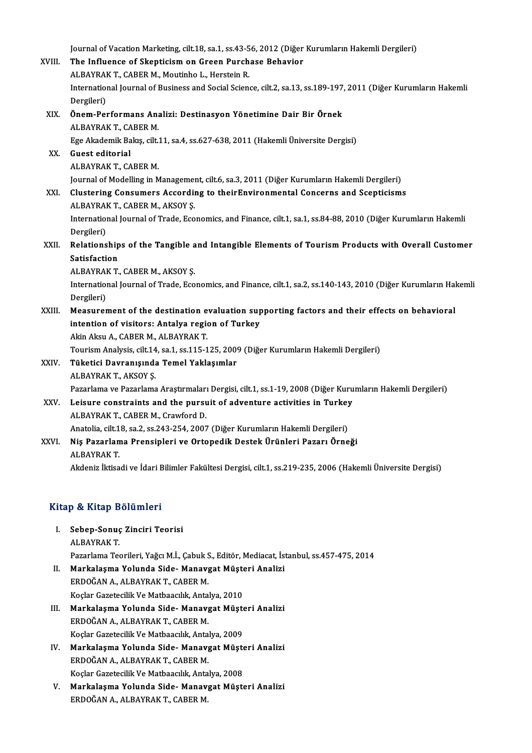Journal of Vacation Marketing, cilt.18, sa.1, ss.43-56, 2012 (Diğer Kurumların Hakemli Dergileri)<br>The Influence of Skonticism on Creen Burchase Behavior

| XVIII. | Journal of Vacation Marketing, cilt.18, sa.1, ss.43-56, 2012 (Diğer Kurumların Hakemli Dergileri)                             |
|--------|-------------------------------------------------------------------------------------------------------------------------------|
|        | The Influence of Skepticism on Green Purchase Behavior                                                                        |
|        | ALBAYRAK T., CABER M., Moutinho L., Herstein R.                                                                               |
|        | International Journal of Business and Social Science, cilt.2, sa.13, ss.189-197, 2011 (Diğer Kurumların Hakemli<br>Dergileri) |
| XIX.   | Önem-Performans Analizi: Destinasyon Yönetimine Dair Bir Örnek                                                                |
|        | ALBAYRAK T., CABER M.                                                                                                         |
|        | Ege Akademik Bakış, cilt.11, sa.4, ss.627-638, 2011 (Hakemli Üniversite Dergisi)                                              |
| XX -   | Guest editorial                                                                                                               |
|        | ALBAYRAK T., CABER M.                                                                                                         |
|        | Journal of Modelling in Management, cilt.6, sa.3, 2011 (Diğer Kurumların Hakemli Dergileri)                                   |
| XXI.   | Clustering Consumers According to theirEnvironmental Concerns and Scepticisms                                                 |
|        | ALBAYRAK T, CABER M, AKSOY S.                                                                                                 |
|        | International Journal of Trade, Economics, and Finance, cilt.1, sa.1, ss.84-88, 2010 (Diğer Kurumların Hakemli                |
|        | Dergileri)                                                                                                                    |
| XXII.  | Relationships of the Tangible and Intangible Elements of Tourism Products with Overall Customer                               |
|        | Satisfaction                                                                                                                  |
|        | ALBAYRAK T., CABER M., AKSOY S.                                                                                               |
|        | International Journal of Trade, Economics, and Finance, cilt.1, sa.2, ss.140-143, 2010 (Diğer Kurumların Hakemli              |
|        | Dergileri)                                                                                                                    |
| XXIII. | Measurement of the destination evaluation supporting factors and their effects on behavioral                                  |
|        | intention of visitors: Antalya region of Turkey                                                                               |
|        | Akin Aksu A., CABER M., ALBAYRAK T.                                                                                           |
|        | Tourism Analysis, cilt.14, sa.1, ss.115-125, 2009 (Diğer Kurumların Hakemli Dergileri)                                        |
| XXIV.  | Tüketici Davranışında Temel Yaklaşımlar                                                                                       |
|        | ALBAYRAK T, AKSOY Ş                                                                                                           |
|        | Pazarlama ve Pazarlama Araştırmaları Dergisi, cilt.1, ss.1-19, 2008 (Diğer Kurumların Hakemli Dergileri)                      |
| XXV.   | Leisure constraints and the pursuit of adventure activities in Turkey                                                         |
|        | ALBAYRAK T., CABER M., Crawford D.                                                                                            |
|        | Anatolia, cilt.18, sa.2, ss.243-254, 2007 (Diğer Kurumların Hakemli Dergileri)                                                |
| XXVI.  | Niş Pazarlama Prensipleri ve Ortopedik Destek Ürünleri Pazarı Örneği                                                          |
|        | <b>ALBAYRAK T.</b>                                                                                                            |
|        | Akdeniz İktisadi ve İdari Bilimler Fakültesi Dergisi, cilt.1, ss.219-235, 2006 (Hakemli Üniversite Dergisi)                   |
|        |                                                                                                                               |

#### Kitap & Kitap Bölümleri

- itap & Kitap Bölümleri<br>I. Sebep-Sonuç Zinciri Teorisi<br>ALPAYPAKT ALBAYRAKT.<br>ALBAYRAKT.<br>Pererlema Tea Sebep-Sonuç Zinciri Teorisi<br>ALBAYRAK T.<br>Pazarlama Teorileri, Yağcı M.İ., Çabuk S., Editör, Mediacat, İstanbul, ss.457-475, 2014<br>Markalasma Yolunda Side, Manayast Müsteri Analizi ALBAYRAK T.<br>Pazarlama Teorileri, Yağcı M.İ., Çabuk S., Editör, Mediacat, İs<br>II. Markalaşma Yolunda Side-Manavgat Müşteri Analizi<br>FRDQĞANA, ALBAYRAK T. GARER M
- Pazarlama Teorileri, Yağcı M.İ., Çabuk S<br><mark>Markalaşma Yolunda Side- Manav</mark><br>ERDOĞAN A., ALBAYRAK T., CABER M.<br>Koslar Gazatesilik Ve Mathaasılık, Anta Markalaşma Yolunda Side- Manavgat Müşte<br>ERDOĞAN A., ALBAYRAK T., CABER M.<br>Koçlar Gazetecilik Ve Matbaacılık, Antalya, 2010<br>Markalasma Yolunda Side, Manaygat Müşte ERDOĞAN A., ALBAYRAK T., CABER M.<br>Koçlar Gazetecilik Ve Matbaacılık, Antalya, 2010<br>III. Markalaşma Yolunda Side-Manavgat Müşteri Analizi
- Koçlar Gazetecilik Ve Matbaacılık, Antal<br>Markalaşma Yolunda Side- Manavş<br>ERDOĞAN A., ALBAYRAK T., CABER M.<br>Koslar Gazetesilik Ve Matbaasılık, Antal Markalaşma Yolunda Side- Manavgat Müşte<br>ERDOĞAN A., ALBAYRAK T., CABER M.<br>Koçlar Gazetecilik Ve Matbaacılık, Antalya, 2009<br>Markalasma Yolunda Side, Manaygat Müşte ERDOĞAN A., ALBAYRAK T., CABER M.<br>Koçlar Gazetecilik Ve Matbaacılık, Antalya, 2009<br>IV. Markalaşma Yolunda Side-Manavgat Müşteri Analizi<br>ERDOĞAN A., ALBAYRAK T., CABER M. Koçlar Gazetecilik Ve Matbaacılık, Antalya, 2009
- Markalaşma Yolunda Side- Manavgat Müşte<br>ERDOĞAN A., ALBAYRAK T., CABER M.<br>Koçlar Gazetecilik Ve Matbaacılık, Antalya, 2008<br>Markalasma Yolunda Side, Manayzat Müşte
- V. Markalaşma Yolunda Side-Manavgat Müşteri Analizi<br>ERDOĞAN A., ALBAYRAK T., CABER M. Koçlar Gazetecilik Ve Matbaacılık, Anta<br><mark>Markalaşma Yolunda Side- Manav</mark><br>ERDOĞAN A., ALBAYRAK T., CABER M.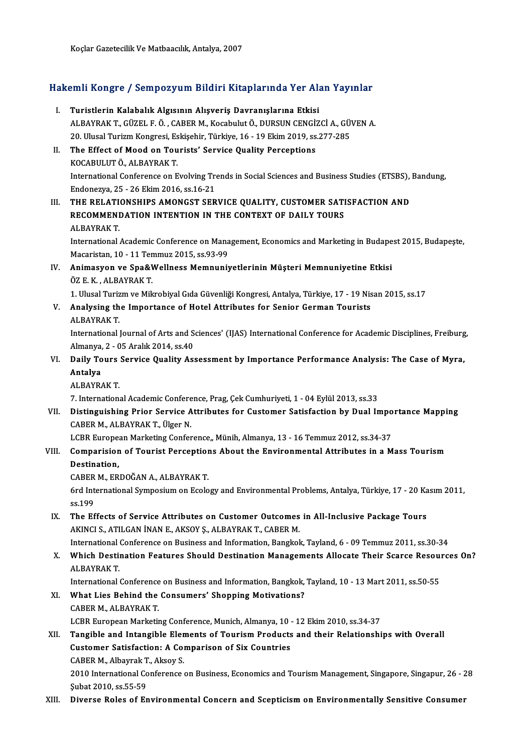# koçlar Gazeteclik ve Matbaaclik, Antalya, 2007<br>Hakemli Kongre / Sempozyum Bildiri Kitaplarında Yer Alan Yayınlar

| Hakemli Kongre / Sempozyum Bildiri Kitaplarında Yer Alan Yayınlar |                                                                                                                                                              |
|-------------------------------------------------------------------|--------------------------------------------------------------------------------------------------------------------------------------------------------------|
| L.                                                                | Turistlerin Kalabalık Algısının Alışveriş Davranışlarına Etkisi                                                                                              |
|                                                                   | ALBAYRAK T., GÜZEL F. Ö., CABER M., Kocabulut Ö., DURSUN CENGİZCİ A., GÜVEN A.                                                                               |
|                                                                   | 20. Ulusal Turizm Kongresi, Eskişehir, Türkiye, 16 - 19 Ekim 2019, ss.277-285                                                                                |
| П.                                                                | The Effect of Mood on Tourists' Service Quality Perceptions                                                                                                  |
|                                                                   | KOCABULUT Ö., ALBAYRAK T.                                                                                                                                    |
|                                                                   | International Conference on Evolving Trends in Social Sciences and Business Studies (ETSBS), Bandung,                                                        |
|                                                                   | Endonezya, 25 - 26 Ekim 2016, ss 16-21                                                                                                                       |
| III.                                                              | THE RELATIONSHIPS AMONGST SERVICE QUALITY, CUSTOMER SATISFACTION AND                                                                                         |
|                                                                   | RECOMMENDATION INTENTION IN THE CONTEXT OF DAILY TOURS<br><b>ALBAYRAK T.</b>                                                                                 |
|                                                                   | International Academic Conference on Management, Economics and Marketing in Budapest 2015, Budapeste,                                                        |
|                                                                   | Macaristan, 10 - 11 Temmuz 2015, ss.93-99                                                                                                                    |
| IV.                                                               | Animasyon ve Spa&Wellness Memnuniyetlerinin Müşteri Memnuniyetine Etkisi                                                                                     |
|                                                                   | ÖZ E. K., ALBAYRAK T.                                                                                                                                        |
|                                                                   | 1. Ulusal Turizm ve Mikrobiyal Gıda Güvenliği Kongresi, Antalya, Türkiye, 17 - 19 Nisan 2015, ss.17                                                          |
| V.                                                                | Analysing the Importance of Hotel Attributes for Senior German Tourists                                                                                      |
|                                                                   | <b>ALBAYRAK T.</b>                                                                                                                                           |
|                                                                   | International Journal of Arts and Sciences' (IJAS) International Conference for Academic Disciplines, Freiburg,                                              |
|                                                                   | Almanya, 2 - 05 Aralık 2014, ss 40                                                                                                                           |
| VI.                                                               | Daily Tours Service Quality Assessment by Importance Performance Analysis: The Case of Myra,                                                                 |
|                                                                   | Antalya                                                                                                                                                      |
|                                                                   | <b>ALBAYRAK T</b>                                                                                                                                            |
|                                                                   | 7. International Academic Conference, Prag, Çek Cumhuriyeti, 1 - 04 Eylül 2013, ss.33                                                                        |
| VII.                                                              | Distinguishing Prior Service Attributes for Customer Satisfaction by Dual Importance Mapping<br>CABER M., ALBAYRAK T., Ülger N.                              |
|                                                                   | LCBR European Marketing Conference,, Münih, Almanya, 13 - 16 Temmuz 2012, ss.34-37                                                                           |
| VIII.                                                             | Comparision of Tourist Perceptions About the Environmental Attributes in a Mass Tourism                                                                      |
|                                                                   | Destination,                                                                                                                                                 |
|                                                                   | CABER M. ERDOĞAN A. ALBAYRAK T.                                                                                                                              |
|                                                                   | 6rd International Symposium on Ecology and Environmental Problems, Antalya, Türkiye, 17 - 20 Kasım 2011,                                                     |
|                                                                   | ss 199                                                                                                                                                       |
| IX.                                                               | The Effects of Service Attributes on Customer Outcomes in All-Inclusive Package Tours                                                                        |
|                                                                   | AKINCI S., ATILGAN İNAN E., AKSOY Ş., ALBAYRAK T., CABER M.                                                                                                  |
|                                                                   | International Conference on Business and Information, Bangkok, Tayland, 6 - 09 Temmuz 2011, ss.30-34                                                         |
| X.                                                                | Which Destination Features Should Destination Managements Allocate Their Scarce Resources On?                                                                |
|                                                                   | <b>ALBAYRAK T</b>                                                                                                                                            |
|                                                                   | International Conference on Business and Information, Bangkok, Tayland, 10 - 13 Mart 2011, ss.50-55<br>What Lies Behind the Consumers' Shopping Motivations? |
| XI.                                                               | CABER M., ALBAYRAK T.                                                                                                                                        |
|                                                                   | LCBR European Marketing Conference, Munich, Almanya, 10 - 12 Ekim 2010, ss.34-37                                                                             |
| XII.                                                              | Tangible and Intangible Elements of Tourism Products and their Relationships with Overall                                                                    |
|                                                                   | <b>Customer Satisfaction: A Comparison of Six Countries</b>                                                                                                  |
|                                                                   | CABER M., Albayrak T., Aksoy S.                                                                                                                              |
|                                                                   | 2010 International Conference on Business, Economics and Tourism Management, Singapore, Singapur, 26 - 28                                                    |
|                                                                   | Şubat 2010, ss.55-59                                                                                                                                         |
| XIII.                                                             | Diverse Roles of Environmental Concern and Scepticism on Environmentally Sensitive Consumer                                                                  |
|                                                                   |                                                                                                                                                              |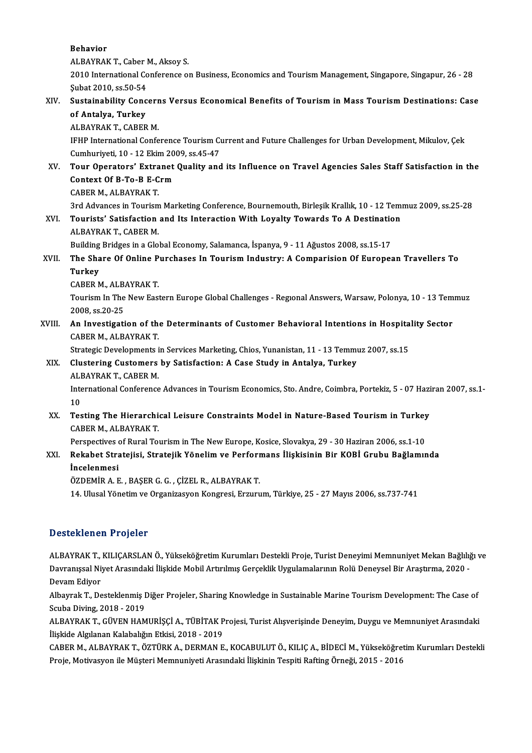Behavior

**Behavior<br>ALBAYRAK T., Caber M., Aksoy S.<br>2010 International Conference of** 

2010 International Conference on Business, Economics and Tourism Management, Singapore, Singapur, 26 - 28<br>Subat 2010. ss.50-54 ALBAYRAK T., Caber 1<br>2010 International Co<br>Şubat 2010, ss.50-54<br>Sustainability Cong 2010 International Conference on Business, Economics and Tourism Management, Singapore, Singapur, 26 - 28<br>Subat 2010, ss.50-54<br>XIV. Sustainability Concerns Versus Economical Benefits of Tourism in Mass Tourism Destinations

## Subat 2010, ss.50-54<br>Sustainability Conc<br>of Antalya, Turkey<br>ALBAYBAK T. CABER Sustainability Concerr<br>of Antalya, Turkey<br>ALBAYRAK T., CABER M.<br><sup>IEUD International Confe</sup>

of Antalya, Turkey<br>ALBAYRAK T., CABER M.<br>IFHP International Conference Tourism Current and Future Challenges for Urban Development, Mikulov, Çek<br>Cumburiyati 10, .12 Ekim 2009, cs.45,47 ALBAYRAK T., CABER M.<br>IFHP International Conference Tourism Cu<br>Cumhuriyeti, 10 - 12 Ekim 2009, ss.45-47<br>Tour Operstars', Eytranst Quality and IFHP International Conference Tourism Current and Future Challenges for Urban Development, Mikulov, Çek<br>Cumhuriyeti, 10 - 12 Ekim 2009, ss.45-47<br>XV. Tour Operators' Extranet Quality and its Influence on Travel Agencies Sal

### Cumhuriyeti, 10 - 12 Ekim 20<br>Tour Operators' Extranet<br>Context Of B-To-B E-Crm Tour Operators' Extra<br>Context Of B-To-B E-C<br>CABER M., ALBAYRAK T.<br>2rd Advances in Touriam 3rd Context Of B-To-B E-Crm<br>2006 - CABER M., ALBAYRAK T.<br>3rd Advances in Tourism Marketing Conference, Bournemouth, Birleşik Krallık, 10 - 12 Temmuz 2009, ss.25-28

## CABER M., ALBAYRAK T.<br>3rd Advances in Tourism Marketing Conference, Bournemouth, Birleşik Krallık, 10 - 12 Tem<br>XVI. Tourists' Satisfaction and Its Interaction With Loyalty Towards To A Destination<br>ALBAYBAY T. CABER M **3rd Advances in Tourism<br>Tourists' Satisfaction<br>ALBAYRAK T., CABER M.**<br>Puilding Pridges in a Clo Tourists' Satisfaction and Its Interaction With Loyalty Towards To A Destination<br>ALBAYRAK T., CABER M.<br>Building Bridges in a Global Economy, Salamanca, İspanya, 9 - 11 Ağustos 2008, ss.15-17<br>The Share Of Online Burshasse I

## ALBAYRAK T., CABER M.<br>Building Bridges in a Global Economy, Salamanca, İspanya, 9 - 11 Ağustos 2008, ss.15-17<br>XVII. The Share Of Online Purchases In Tourism Industry: A Comparision Of European Travellers To **Building<br>The Sha<br>Turkey<br>CARED A** The Share Of Online P<br>Turkey<br>CABER M., ALBAYRAK T.<br>Touriam In The New Fost

Turkey<br>CABER M., ALBAYRAK T.<br>Tourism In The New Eastern Europe Global Challenges - Regional Answers, Warsaw, Polonya, 10 - 13 Temmuz<br>2008.68.20.25 CABER M., ALB.<br>Tourism In The<br>2008, ss.20-25 Tourism In The New Eastern Europe Global Challenges - Regional Answers, Warsaw, Polonya, 10 - 13 Tem<br>2008, ss.20-25<br>XVIII. An Investigation of the Determinants of Customer Behavioral Intentions in Hospitality Sector<br>CARER

## 2008, ss.20-25<br>An Investigation of the<br>CABER M., ALBAYRAK T.<br>Strategie Developments i An Investigation of the Determinants of Customer Behavioral Intentions in Hospita<br>CABER M., ALBAYRAK T.<br>Strategic Developments in Services Marketing, Chios, Yunanistan, 11 - 13 Temmuz 2007, ss.15<br>Clustering Customers by Sa

Strategic Developments in Services Marketing, Chios, Yunanistan, 11 - 13 Temmuz 2007, ss.15

# CABER M., ALBAYRAK T.<br>Strategic Developments in Services Marketing, Chios, Yunanistan, 11 - 13 Temm<br>XIX. Clustering Customers by Satisfaction: A Case Study in Antalya, Turkey<br>ALBAYRAK T., CABER M. Clustering Customers by Satisfaction: A Case Study in Antalya, Turkey<br>ALBAYRAK T., CABER M.<br>International Conference Advances in Tourism Economics, Sto. Andre, Coimbra, Portekiz, 5 - 07 Haziran 2007, ss.1-<br>10.

ALI<br>Inte<br>10<br>Tes International Conference Advances in Tourism Economics, Sto. Andre, Coimbra, Portekiz, 5 - 07 Hazi<br>10<br>XX. Testing The Hierarchical Leisure Constraints Model in Nature-Based Tourism in Turkey

## 10<br>Testing The Hierarchi<br>CABER M., ALBAYRAK T.<br>Perspectives of Burel To Testing The Hierarchical Leisure Constraints Model in Nature-Based Tourism in Turkey<br>CABER M., ALBAYRAK T.<br>Perspectives of Rural Tourism in The New Europe, Kosice, Slovakya, 29 - 30 Haziran 2006, ss.1-10<br>Rekebet Stratejiej

## CABER M., ALBAYRAK T.<br>Perspectives of Rural Tourism in The New Europe, Kosice, Slovakya, 29 - 30 Haziran 2006, ss.1-10<br>XXI. Rekabet Stratejisi, Stratejik Yönelim ve Performans İlişkisinin Bir KOBİ Grubu Bağlamında<br>İnce Perspectives<br>Rekabet Stra<br>İncelenmesi<br>ÖZDEMİR A.E Rekabet Stratejisi, Stratejik Yönelim ve Perform<br>İncelenmesi<br>ÖZDEMİR A. E. , BAŞER G. G. , ÇİZEL R., ALBAYRAK T.<br>14 Hlusel Yönetim ve Oxsanizeven Konspesi, Ermun

İncelenmesi<br>ÖZDEMİR A. E. , BAŞER G. G. , ÇİZEL R., ALBAYRAK T.<br>14. Ulusal Yönetim ve Organizasyon Kongresi, Erzurum, Türkiye, 25 - 27 Mayıs 2006, ss.737-741

#### Desteklenen Projeler

Desteklenen Projeler<br>ALBAYRAK T., KILIÇARSLAN Ö., Yükseköğretim Kurumları Destekli Proje, Turist Deneyimi Memnuniyet Mekan Bağlılığı ve<br>Dayranışsal Niyet Arasındaki İlişkide Mehil Artırılmış Censeklik Uygulamalarının Belü D ODCONION'NIYET'I YERRENIYET<br>ALBAYRAK T., KILIÇARSLAN Ö., Yükseköğretim Kurumları Destekli Proje, Turist Deneyimi Memnuniyet Mekan Bağlılığ<br>Davranışsal Niyet Arasındaki İlişkide Mobil Artırılmış Gerçeklik Uygulamalarının Davranışsal Niyet Arasındaki İlişkide Mobil Artırılmış Gerçeklik Uygulamalarının Rolü Deneysel Bir Araştırma, 2020 -<br>Devam Ediyor Davranışsal Niyet Arasındaki İlişkide Mobil Artırılmış Gerçeklik Uygulamalarının Rolü Deneysel Bir Araştırma, 2020 -<br>Devam Ediyor<br>Albayrak T., Desteklenmiş Diğer Projeler, Sharing Knowledge in Sustainable Marine Tourism De

Devam Ediyor<br>Albayrak T., Desteklenmiş I<br>Scuba Diving, 2018 - 2019<br>ALBAYBAK T. CÜVEN HAM Albayrak T., Desteklenmiş Diğer Projeler, Sharing Knowledge in Sustainable Marine Tourism Development: The Case of<br>Scuba Diving, 2018 - 2019<br>ALBAYRAK T., GÜVEN HAMURİŞÇİ A., TÜBİTAK Projesi, Turist Alışverişinde Deneyim, D

Scuba Diving, 2018 - 2019<br>ALBAYRAK T., GÜVEN HAMURİŞÇİ A., TÜBİTAK P<br>İlişkide Algılanan Kalabalığın Etkisi, 2018 - 2019<br>CARER M. ALBAYRAK T., ÖZTÜRK A., DERMAN E ALBAYRAK T., GÜVEN HAMURİŞÇİ A., TÜBİTAK Projesi, Turist Alışverişinde Deneyim, Duygu ve Memnuniyet Arasındaki<br>İlişkide Algılanan Kalabalığın Etkisi, 2018 - 2019<br>CABER M., ALBAYRAK T., ÖZTÜRK A., DERMAN E., KOCABULUT Ö., K

İlişkide Algılanan Kalabalığın Etkisi, 2018 - 2019<br>CABER M., ALBAYRAK T., ÖZTÜRK A., DERMAN E., KOCABULUT Ö., KILIÇ A., BİDECİ M., Yükseköğretim Kurumları Destekli<br>Proje, Motivasyon ile Müşteri Memnuniyeti Arasındaki İlişk